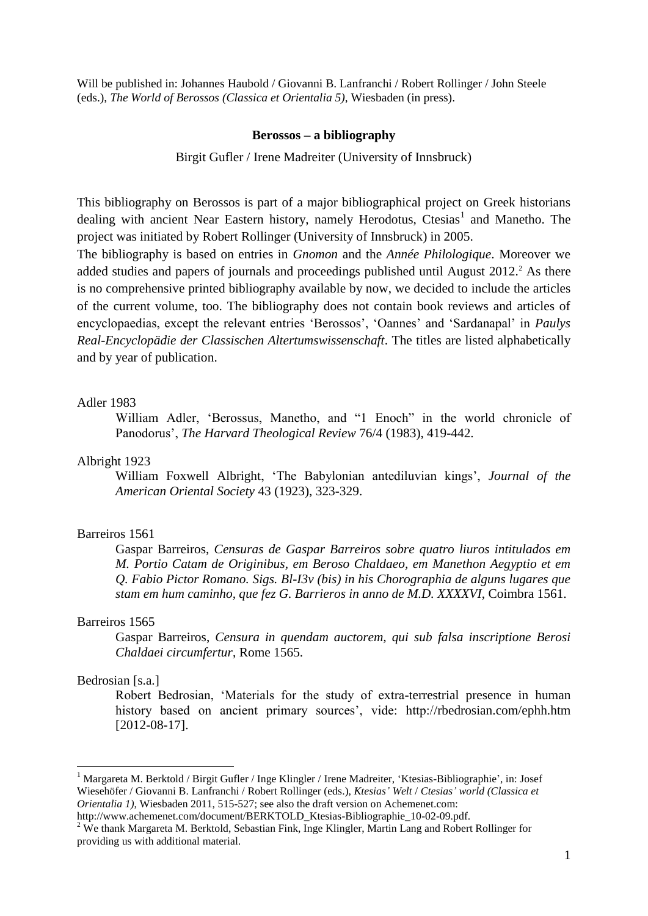Will be published in: Johannes Haubold / Giovanni B. Lanfranchi / Robert Rollinger / John Steele (eds.), *The World of Berossos (Classica et Orientalia 5)*, Wiesbaden (in press).

#### **Berossos – a bibliography**

Birgit Gufler / Irene Madreiter (University of Innsbruck)

This bibliography on Berossos is part of a major bibliographical project on Greek historians dealing with ancient Near Eastern history, namely Herodotus, Ctesias<sup>1</sup> and Manetho. The project was initiated by Robert Rollinger (University of Innsbruck) in 2005.

The bibliography is based on entries in *Gnomon* and the *Année Philologique*. Moreover we added studies and papers of journals and proceedings published until August  $2012<sup>2</sup>$ . As there is no comprehensive printed bibliography available by now, we decided to include the articles of the current volume, too. The bibliography does not contain book reviews and articles of encyclopaedias, except the relevant entries 'Berossos', 'Oannes' and 'Sardanapal' in *Paulys Real-Encyclopädie der Classischen Altertumswissenschaft*. The titles are listed alphabetically and by year of publication.

# Adler 1983

William Adler, "Berossus, Manetho, and "1 Enoch" in the world chronicle of Panodorus", *The Harvard Theological Review* 76/4 (1983), 419-442.

# Albright 1923

William Foxwell Albright, "The Babylonian antediluvian kings", *Journal of the American Oriental Society* 43 (1923), 323-329.

# Barreiros 1561

Gaspar Barreiros, *Censuras de Gaspar Barreiros sobre quatro liuros intitulados em M. Portio Catam de Originibus, em Beroso Chaldaeo, em Manethon Aegyptio et em Q. Fabio Pictor Romano. Sigs. Bl-I3v (bis) in his Chorographia de alguns lugares que stam em hum caminho, que fez G. Barrieros in anno de M.D. XXXXVI*, Coimbra 1561.

#### Barreiros 1565

Gaspar Barreiros, *Censura in quendam auctorem, qui sub falsa inscriptione Berosi Chaldaei circumfertur*, Rome 1565.

# Bedrosian [s.a.]

1

Robert Bedrosian, "Materials for the study of extra-terrestrial presence in human history based on ancient primary sources', vide: http://rbedrosian.com/ephh.htm [2012-08-17].

<sup>&</sup>lt;sup>1</sup> Margareta M. Berktold / Birgit Gufler / Inge Klingler / Irene Madreiter, 'Ktesias-Bibliographie', in: Josef Wiesehöfer / Giovanni B. Lanfranchi / Robert Rollinger (eds.), *Ktesias' Welt* / *Ctesias' world (Classica et Orientalia 1)*, Wiesbaden 2011, 515-527; see also the draft version on Achemenet.com:

http://www.achemenet.com/document/BERKTOLD\_Ktesias-Bibliographie\_10-02-09.pdf.

<sup>&</sup>lt;sup>2</sup> We thank Margareta M. Berktold, Sebastian Fink, Inge Klingler, Martin Lang and Robert Rollinger for providing us with additional material.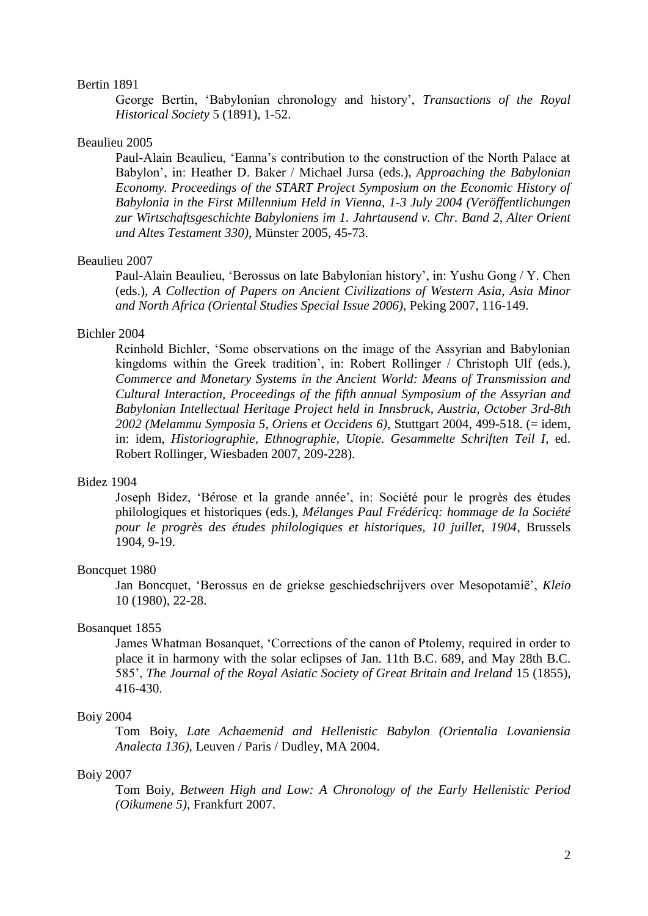## Bertin 1891

George Bertin, "Babylonian chronology and history", *Transactions of the Royal Historical Society* 5 (1891), 1-52.

# Beaulieu 2005

Paul-Alain Beaulieu, "Eanna"s contribution to the construction of the North Palace at Babylon", in: Heather D. Baker / Michael Jursa (eds.), *Approaching the Babylonian Economy. Proceedings of the START Project Symposium on the Economic History of Babylonia in the First Millennium Held in Vienna, 1-3 July 2004 (Veröffentlichungen zur Wirtschaftsgeschichte Babyloniens im 1. Jahrtausend v. Chr. Band 2, Alter Orient und Altes Testament 330)*, Münster 2005, 45-73.

#### Beaulieu 2007

Paul-Alain Beaulieu, "Berossus on late Babylonian history", in: Yushu Gong / Y. Chen (eds.), *A Collection of Papers on Ancient Civilizations of Western Asia, Asia Minor and North Africa (Oriental Studies Special Issue 2006)*, Peking 2007, 116-149.

#### Bichler 2004

Reinhold Bichler, "Some observations on the image of the Assyrian and Babylonian kingdoms within the Greek tradition', in: Robert Rollinger / Christoph Ulf (eds.), *Commerce and Monetary Systems in the Ancient World: Means of Transmission and Cultural Interaction, Proceedings of the fifth annual Symposium of the Assyrian and Babylonian Intellectual Heritage Project held in Innsbruck, Austria, October 3rd-8th 2002 (Melammu Symposia 5, Oriens et Occidens 6)*, Stuttgart 2004, 499-518. (= idem, in: idem, *Historiographie, Ethnographie, Utopie. Gesammelte Schriften Teil I*, ed. Robert Rollinger, Wiesbaden 2007, 209-228).

#### Bidez 1904

Joseph Bidez, "Bérose et la grande année", in: Société pour le progrès des études philologiques et historiques (eds.), *Mélanges Paul Frédéricq: hommage de la Société pour le progrès des études philologiques et historiques, 10 juillet, 1904*, Brussels 1904, 9-19.

# Boncquet 1980

Jan Boncquet, "Berossus en de griekse geschiedschrijvers over Mesopotamië", *Kleio* 10 (1980), 22-28.

## Bosanquet 1855

James Whatman Bosanquet, "Corrections of the canon of Ptolemy, required in order to place it in harmony with the solar eclipses of Jan. 11th B.C. 689, and May 28th B.C. 585", *The Journal of the Royal Asiatic Society of Great Britain and Ireland* 15 (1855), 416-430.

# Boiy 2004

Tom Boiy, *Late Achaemenid and Hellenistic Babylon (Orientalia Lovaniensia Analecta 136)*, Leuven / Paris / Dudley, MA 2004.

#### Boiy 2007

Tom Boiy, *Between High and Low: A Chronology of the Early Hellenistic Period (Oikumene 5)*, Frankfurt 2007.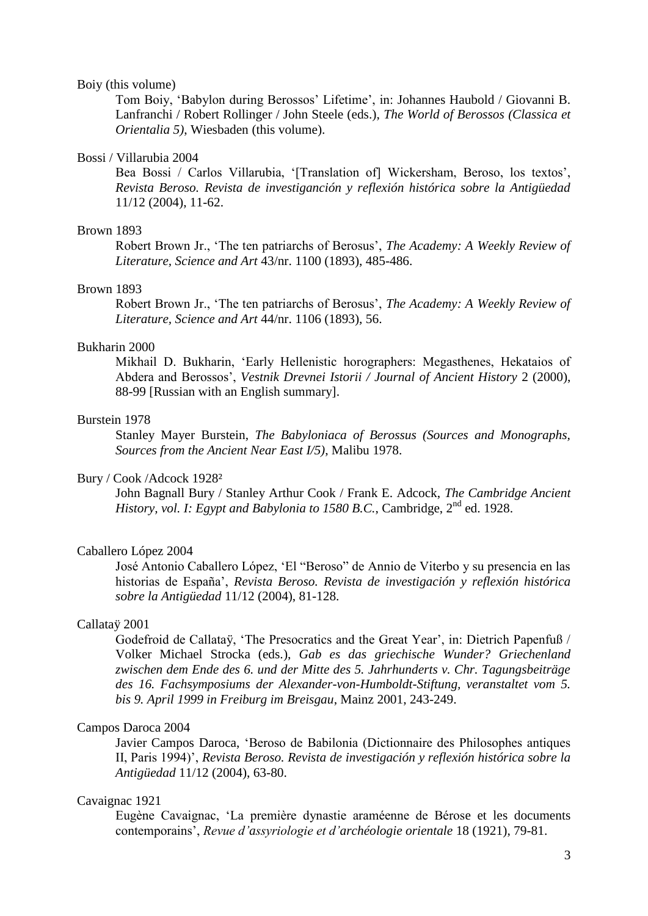#### Boiy (this volume)

Tom Boiy, "Babylon during Berossos" Lifetime", in: Johannes Haubold / Giovanni B. Lanfranchi / Robert Rollinger / John Steele (eds.), *The World of Berossos (Classica et Orientalia 5)*, Wiesbaden (this volume).

# Bossi / Villarubia 2004

Bea Bossi / Carlos Villarubia, '[Translation of] Wickersham, Beroso, los textos', *Revista Beroso. Revista de investiganción y reflexión histórica sobre la Antigüedad* 11/12 (2004), 11-62.

# Brown 1893

Robert Brown Jr., "The ten patriarchs of Berosus", *The Academy: A Weekly Review of Literature, Science and Art* 43/nr. 1100 (1893), 485-486.

## Brown 1893

Robert Brown Jr., "The ten patriarchs of Berosus", *The Academy: A Weekly Review of Literature, Science and Art* 44/nr. 1106 (1893), 56.

# Bukharin 2000

Mikhail D. Bukharin, "Early Hellenistic horographers: Megasthenes, Hekataios of Abdera and Berossos", *Vestnik Drevnei Istorii / Journal of Ancient History* 2 (2000), 88-99 [Russian with an English summary].

# Burstein 1978

Stanley Mayer Burstein, *The Babyloniaca of Berossus (Sources and Monographs, Sources from the Ancient Near East I/5)*, Malibu 1978.

## Bury / Cook /Adcock 1928²

John Bagnall Bury / Stanley Arthur Cook / Frank E. Adcock, *The Cambridge Ancient History, vol. I: Egypt and Babylonia to 1580 B.C.*, Cambridge, 2<sup>nd</sup> ed. 1928.

## Caballero López 2004

José Antonio Caballero López, "El "Beroso" de Annio de Viterbo y su presencia en las historias de España", *Revista Beroso. Revista de investigación y reflexión histórica sobre la Antigüedad* 11/12 (2004), 81-128.

# Callataÿ 2001

Godefroid de Callataÿ, 'The Presocratics and the Great Year', in: Dietrich Papenfuß / Volker Michael Strocka (eds.), *Gab es das griechische Wunder? Griechenland zwischen dem Ende des 6. und der Mitte des 5. Jahrhunderts v. Chr. Tagungsbeiträge des 16. Fachsymposiums der Alexander-von-Humboldt-Stiftung, veranstaltet vom 5. bis 9. April 1999 in Freiburg im Breisgau*, Mainz 2001, 243-249.

# Campos Daroca 2004

Javier Campos Daroca, "Beroso de Babilonia (Dictionnaire des Philosophes antiques II, Paris 1994)", *Revista Beroso. Revista de investigación y reflexión histórica sobre la Antigüedad* 11/12 (2004), 63-80.

## Cavaignac 1921

Eugène Cavaignac, "La première dynastie araméenne de Bérose et les documents contemporains", *Revue d'assyriologie et d'archéologie orientale* 18 (1921), 79-81.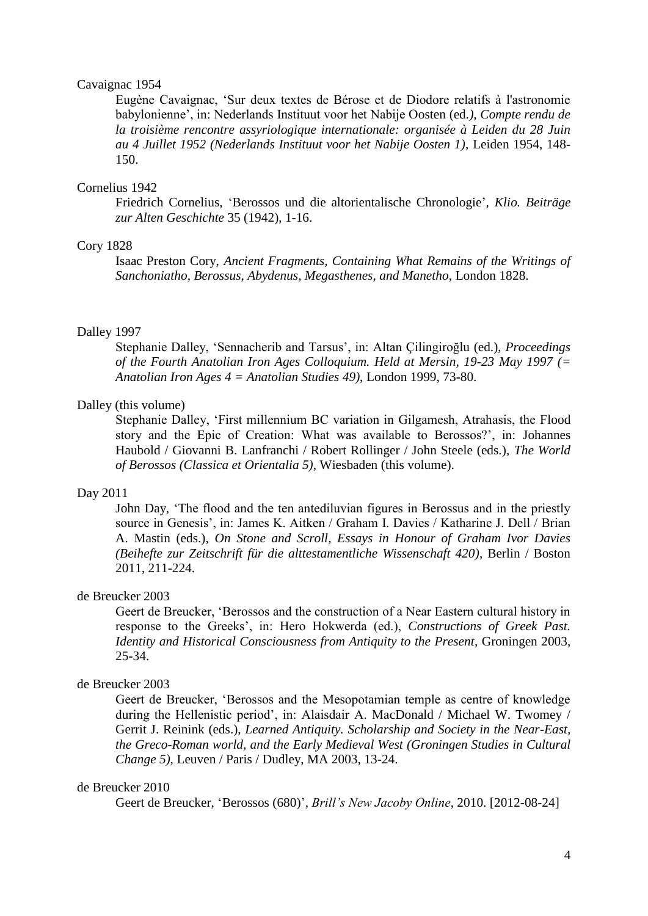# Cavaignac 1954

Eugène Cavaignac, "Sur deux textes de Bérose et de Diodore relatifs à l'astronomie babylonienne", in: Nederlands Instituut voor het Nabije Oosten (ed*.), Compte rendu de la troisième rencontre assyriologique internationale: organisée à Leiden du 28 Juin au 4 Juillet 1952 (Nederlands Instituut voor het Nabije Oosten 1)*, Leiden 1954, 148- 150.

# Cornelius 1942

Friedrich [Cornelius,](http://www.gnomon-online.de/hzeig.FAU?sid=DAFED55723&dm=1&ind=1&zeig=Cornelius%2C+Friedrich) ["Berossos und](javascript:h() [die altorientalische](javascript:h() [Chronologie"](javascript:h(), *Klio. Beiträge zur Alten Geschichte* [35](javascript:h() (1942), [1-16.](javascript:h()

# Cory 1828

Isaac Preston Cory, *Ancient Fragments, Containing What Remains of the Writings of Sanchoniatho, Berossus, Abydenus, Megasthenes, and Manetho*, London 1828.

# Dalley 1997

Stephanie Dalley, "Sennacherib and Tarsus", in: Altan Çilingiroğlu (ed.), *Proceedings of the Fourth Anatolian Iron Ages Colloquium. Held at Mersin, 19-23 May 1997 (= Anatolian Iron Ages 4 = Anatolian Studies 49)*, London 1999, 73-80.

# Dalley (this volume)

Stephanie Dalley, "First millennium BC variation in Gilgamesh, Atrahasis, the Flood story and the Epic of Creation: What was available to Berossos?", in: Johannes Haubold / Giovanni B. Lanfranchi / Robert Rollinger / John Steele (eds.), *The World of Berossos (Classica et Orientalia 5)*, Wiesbaden (this volume).

#### Day 2011

John Day, "The flood and the ten antediluvian figures in Berossus and in the priestly source in Genesis", in: James K. Aitken / Graham I. Davies / Katharine J. Dell / Brian A. Mastin (eds.), *On Stone and Scroll, Essays in Honour of Graham Ivor Davies (Beihefte zur Zeitschrift für die alttestamentliche Wissenschaft 420)*, Berlin / Boston 2011, 211-224.

## de Breucker 2003

Geert de Breucker, "Berossos and the construction of a Near Eastern cultural history in response to the Greeks", in: Hero Hokwerda (ed.), *Constructions of Greek Past. Identity and Historical Consciousness from Antiquity to the Present*, Groningen 2003, 25-34.

#### de Breucker 2003

Geert de Breucker, "Berossos and the Mesopotamian temple as centre of knowledge during the Hellenistic period', in: Alaisdair A. MacDonald / Michael W. Twomey / Gerrit J. Reinink (eds.), *Learned Antiquity. Scholarship and Society in the Near-East, the Greco-Roman world, and the Early Medieval West (Groningen Studies in Cultural Change 5)*, Leuven / Paris / Dudley, MA 2003, 13-24.

#### de Breucker 2010

Geert de Breucker, "Berossos (680)", *Brill's New Jacoby Online*, 2010. [2012-08-24]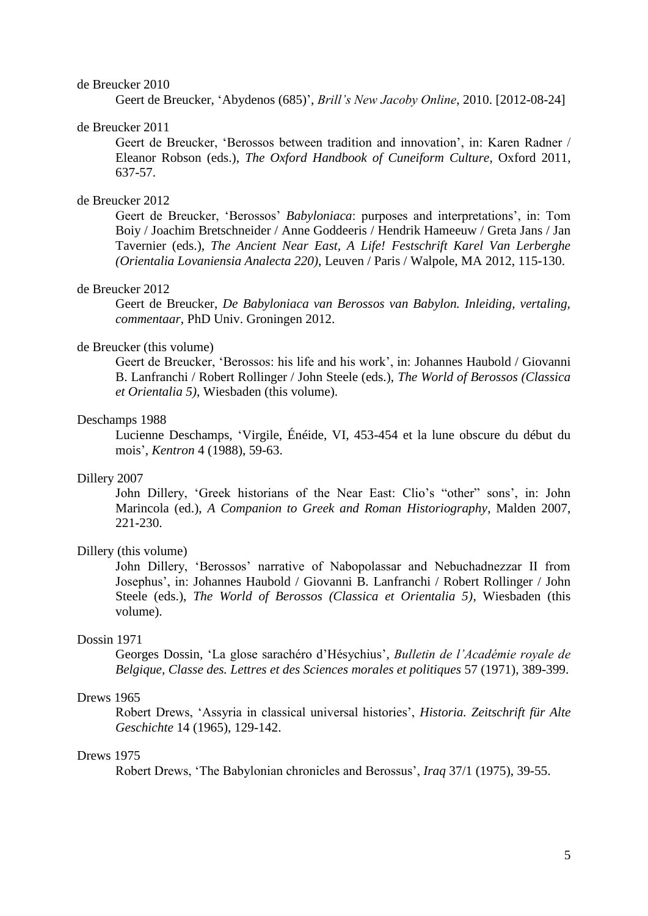#### de Breucker 2010

Geert de Breucker, "Abydenos (685)", *Brill's New Jacoby Online*, 2010. [2012-08-24]

## de Breucker 2011

Geert de Breucker, "Berossos between tradition and innovation", in: Karen Radner / Eleanor Robson (eds.), *The Oxford Handbook of Cuneiform Culture*, Oxford 2011, 637-57.

# de Breucker 2012

Geert de Breucker, "Berossos" *Babyloniaca*: purposes and interpretations", in: Tom Boiy / Joachim Bretschneider / Anne Goddeeris / Hendrik Hameeuw / Greta Jans / Jan Tavernier (eds.), *The Ancient Near East, A Life! Festschrift Karel Van Lerberghe (Orientalia Lovaniensia Analecta 220)*, Leuven / Paris / Walpole, MA 2012, 115-130.

## de Breucker 2012

Geert de Breucker, *De Babyloniaca van Berossos van Babylon. Inleiding, vertaling, commentaar*, PhD Univ. Groningen 2012.

#### de Breucker (this volume)

Geert de Breucker, "Berossos: his life and his work", in: Johannes Haubold / Giovanni B. Lanfranchi / Robert Rollinger / John Steele (eds.), *The World of Berossos (Classica et Orientalia 5)*, Wiesbaden (this volume).

#### Deschamps 1988

Lucienne Deschamps, "Virgile, Énéide, VI, 453-454 et la lune obscure du début du mois", *Kentron* 4 (1988), 59-63.

## Dillery 2007

John Dillery, 'Greek historians of the Near East: Clio's "other" sons', in: John Marincola (ed.), *A Companion to Greek and Roman Historiography*, Malden 2007, 221-230.

#### Dillery (this volume)

John Dillery, "Berossos" narrative of Nabopolassar and Nebuchadnezzar II from Josephus", in: Johannes Haubold / Giovanni B. Lanfranchi / Robert Rollinger / John Steele (eds.), *The World of Berossos (Classica et Orientalia 5)*, Wiesbaden (this volume).

# Dossin 1971

Georges Dossin, "La glose sarachéro d"Hésychius", *Bulletin de l'Académie royale de Belgique, Classe des. Lettres et des Sciences morales et politiques* 57 (1971), 389-399.

# Drews 1965

Robert Drews, "Assyria in classical universal histories", *Historia. Zeitschrift für Alte Geschichte* 14 (1965), 129-142.

# Drews 1975

Robert Drews, "The Babylonian chronicles and Berossus", *Iraq* 37/1 (1975), 39-55.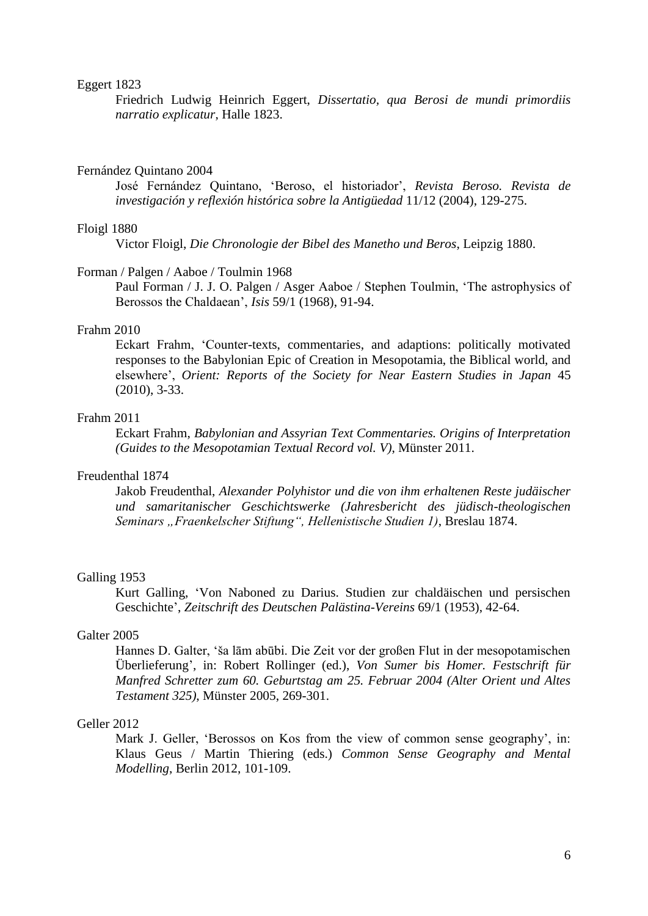#### Eggert 1823

Friedrich Ludwig Heinrich Eggert, *Dissertatio, qua Berosi de mundi primordiis narratio explicatur*, Halle 1823.

#### Fernández Quintano 2004

José Fernández Quintano, "Beroso, el historiador", *Revista Beroso. Revista de investigación y reflexión histórica sobre la Antigüedad* 11/12 (2004), 129-275.

# Floigl 1880

Victor Floigl, *Die Chronologie der Bibel des Manetho und Beros*, Leipzig 1880.

#### Forman / Palgen / Aaboe / Toulmin 1968

Paul Forman / J. J. O. Palgen / Asger Aaboe / Stephen Toulmin, "The astrophysics of Berossos the Chaldaean", *Isis* 59/1 (1968), 91-94.

# Frahm 2010

Eckart Frahm, "Counter-texts, commentaries, and adaptions: politically motivated responses to the Babylonian Epic of Creation in Mesopotamia, the Biblical world, and elsewhere", *Orient: Reports of the Society for Near Eastern Studies in Japan* 45 (2010), 3-33.

# Frahm 2011

Eckart Frahm, *Babylonian and Assyrian Text Commentaries. Origins of Interpretation (Guides to the Mesopotamian Textual Record vol. V)*, Münster 2011.

# Freudenthal 1874

Jakob Freudenthal, *Alexander Polyhistor und die von ihm erhaltenen Reste judäischer und samaritanischer Geschichtswerke (Jahresbericht des jüdisch-theologischen Seminars "Fraenkelscher Stiftung", Hellenistische Studien 1)*, Breslau 1874.

# Galling 1953

Kurt Galling, "Von Naboned zu Darius. Studien zur chaldäischen und persischen Geschichte", *Zeitschrift des Deutschen Palästina-Vereins* 69/1 (1953), 42-64.

## Galter 2005

Hannes D. Galter, "ša lām abūbi. Die Zeit vor der großen Flut in der mesopotamischen Überlieferung", in: Robert Rollinger (ed.), *Von Sumer bis Homer. [Festschrift für](javascript:h()  [Manfred Schretter](javascript:h() [zum 60.](javascript:h() [Geburtstag am](javascript:h() [25. Februar](javascript:h() [2004](javascript:h() [\(Alter](javascript:h() [Orient und](javascript:h() [Altes](javascript:h() [Testament](javascript:h() [325\)](javascript:h()*, [Münster 2](javascript:h()005, 269-301.

#### Geller 2012

Mark J. Geller, 'Berossos on Kos from the view of common sense geography', in: Klaus Geus / Martin Thiering (eds.) *Common Sense Geography and Mental Modelling*, Berlin 2012, 101-109.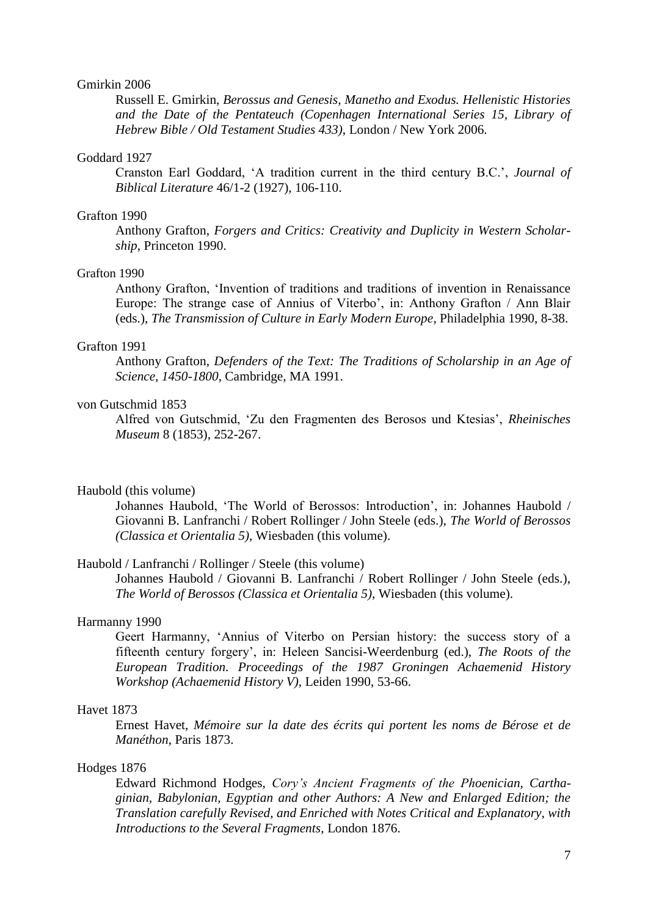## Gmirkin 2006

Russell E. Gmirkin, *Berossus and Genesis, Manetho and Exodus. Hellenistic Histories and the Date of the Pentateuch (Copenhagen International Series 15, Library of Hebrew Bible / Old Testament Studies 433)*, London / New York 2006.

#### Goddard 1927

Cranston Earl Goddard, "A tradition current in the third century B.C.", *Journal of Biblical Literature* 46/1-2 (1927), 106-110.

#### Grafton 1990

Anthony Grafton, *Forgers and Critics: Creativity and Duplicity in Western Scholarship*, Princeton 1990.

# Grafton 1990

Anthony Grafton, "Invention of traditions and traditions of invention in Renaissance Europe: The strange case of Annius of Viterbo', in: Anthony Grafton / Ann Blair (eds.), *The Transmission of Culture in Early Modern Europe*, Philadelphia 1990, 8-38.

## Grafton 1991

Anthony Grafton, *Defenders of the Text: The Traditions of Scholarship in an Age of Science, 1450-1800*, Cambridge, MA 1991.

# von Gutschmid 1853

Alfred von Gutschmid, "Zu den Fragmenten des Berosos und Ktesias", *Rheinisches Museum* 8 (1853), 252-267.

#### Haubold (this volume)

Johannes Haubold, 'The World of Berossos: Introduction', in: Johannes Haubold / Giovanni B. Lanfranchi / Robert Rollinger / John Steele (eds.), *The World of Berossos (Classica et Orientalia 5)*, Wiesbaden (this volume).

## Haubold / Lanfranchi / Rollinger / Steele (this volume)

Johannes Haubold / Giovanni B. Lanfranchi / Robert Rollinger / John Steele (eds.), *The World of Berossos (Classica et Orientalia 5)*, Wiesbaden (this volume).

#### Harmanny 1990

Geert Harmanny, "Annius of Viterbo on Persian history: the success story of a fifteenth century forgery", in: Heleen Sancisi-Weerdenburg (ed.), *The Roots of the European Tradition. Proceedings of the 1987 Groningen Achaemenid History Workshop (Achaemenid History V)*, Leiden 1990, 53-66.

# Havet 1873

Ernest Havet, *Mémoire sur la date des écrits qui portent les noms de Bérose et de Manéthon*, Paris 1873.

## Hodges 1876

Edward Richmond Hodges, *Cory's Ancient Fragments of the Phoenician, Carthaginian, Babylonian, Egyptian and other Authors: A New and Enlarged Edition; the Translation carefully Revised, and Enriched with Notes Critical and Explanatory, with Introductions to the Several Fragments*, London 1876.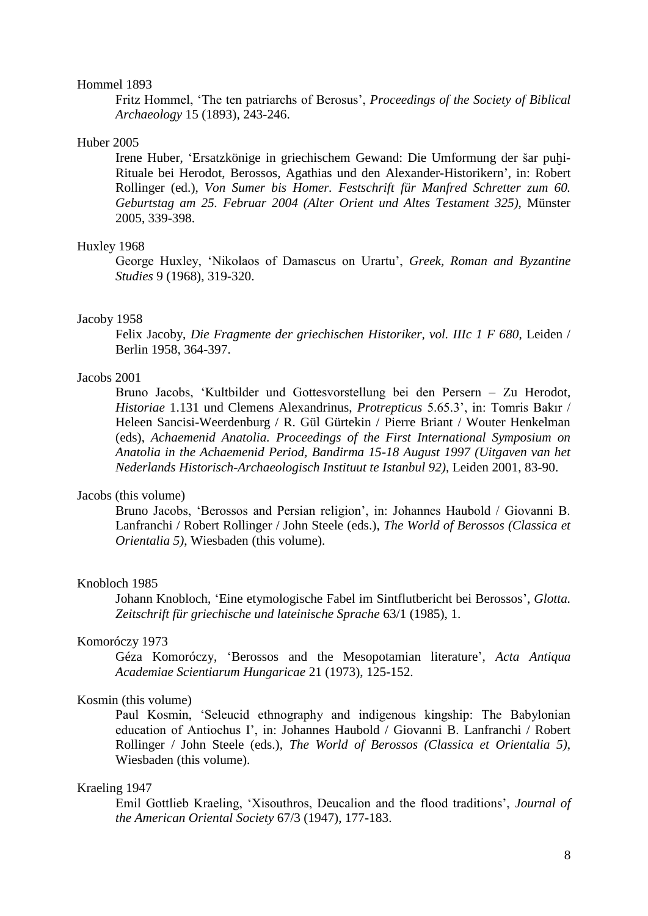## Hommel 1893

Fritz Hommel, "The ten patriarchs of Berosus", *Proceedings of the Society of Biblical Archaeology* 15 (1893), 243-246.

## Huber 2005

Irene Huber, 'Ersatzkönige in [griechischem Gewand:](javascript:h() [Die Umformung](javascript:h() [der šar](javascript:h() [pu](javascript:h()hi-[Rituale bei](javascript:h() [Herodot, Berossos,](javascript:h() [Agathias und](javascript:h() [den Alexander-Historikern"](javascript:h(), in: [Robert](javascript:h()  [Rollinger \(ed.\),](javascript:h() *[Von Sumer](javascript:h() [bis Homer.](javascript:h() [Festschrift für](javascript:h() [Manfred Schretter](javascript:h() [zum 60.](javascript:h()  [Geburtstag am](javascript:h() [25. Februar](javascript:h() [2004](javascript:h() [\(Alter](javascript:h() [Orient und A](javascript:h()ltes [Testament](javascript:h() [325\)](javascript:h()*, [Münster](javascript:h()  2005, [339-398.](javascript:h()

### Huxley 1968

George Huxley, "Nikolaos of Damascus on Urartu", *Greek, Roman and Byzantine Studies* 9 (1968), 319-320.

#### Jacoby 1958

Felix Jacoby, *Die Fragmente der griechischen Historiker, vol. IIIc 1 F 680*, Leiden / Berlin 1958, 364-397.

# Jacobs 2001

Bruno Jacobs, "Kultbilder und Gottesvorstellung bei den Persern – Zu Herodot, *Historiae* 1.131 und Clemens Alexandrinus, *Protrepticus* 5.65.3", in: Tomris Bakır / Heleen Sancisi-Weerdenburg / R. Gül Gürtekin / Pierre Briant / Wouter Henkelman (eds), *Achaemenid Anatolia. Proceedings of the First International Symposium on Anatolia in the Achaemenid Period, Bandirma 15-18 August 1997 (Uitgaven van het Nederlands Historisch-Archaeologisch Instituut te Istanbul 92)*, Leiden 2001, 83-90.

# Jacobs (this volume)

Bruno Jacobs, "Berossos and Persian religion", in: Johannes Haubold / Giovanni B. Lanfranchi / Robert Rollinger / John Steele (eds.), *The World of Berossos (Classica et Orientalia 5)*, Wiesbaden (this volume).

## Knobloch 1985

Johann Knobloch, "Eine etymologische Fabel im Sintflutbericht bei Berossos", *Glotta. Zeitschrift für griechische und lateinische Sprache* 63/1 (1985), 1.

# Komoróczy 1973

Géza Komoróczy, ["Berossos and](javascript:h() [the Mesopotamian](javascript:h() [literature"](javascript:h(), *Acta Antiqua Academiae Scientiarum Hungaricae* [21](javascript:h() (1973), [125-152.](javascript:h()

## Kosmin (this volume)

Paul Kosmin, "Seleucid ethnography and indigenous kingship: The Babylonian education of Antiochus I', in: Johannes Haubold / Giovanni B. Lanfranchi / Robert Rollinger / John Steele (eds.), *The World of Berossos (Classica et Orientalia 5)*, Wiesbaden (this volume).

#### Kraeling 1947

Emil Gottlieb Kraeling, "Xisouthros, Deucalion and the flood traditions", *Journal of the American Oriental Society* 67/3 (1947), 177-183.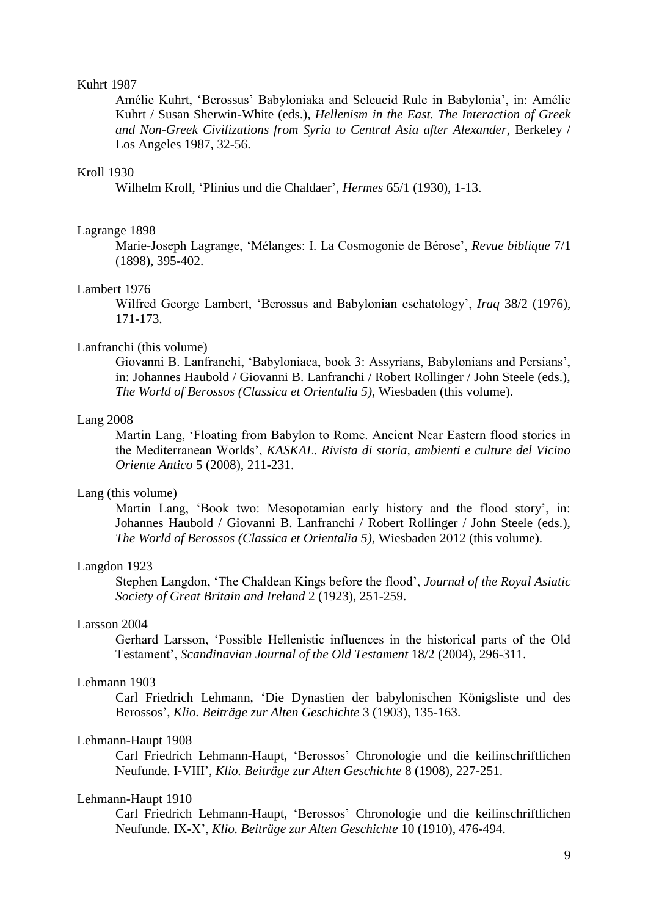## Kuhrt 1987

Amélie Kuhrt, "Berossus" Babyloniaka and Seleucid Rule in Babylonia", in: Amélie Kuhrt / Susan Sherwin-White (eds.), *Hellenism in the East. The Interaction of Greek and Non-Greek Civilizations from Syria to Central Asia after Alexander*, Berkeley / Los Angeles 1987, 32-56.

# Kroll 1930

Wilhelm Kroll, "Plinius und die Chaldaer", *Hermes* 65/1 (1930), 1-13.

## Lagrange 1898

Marie-Joseph Lagrange, "Mélanges: I. La Cosmogonie de Bérose", *Revue biblique* 7/1 (1898), 395-402.

## Lambert 1976

Wilfred George Lambert, "Berossus and Babylonian eschatology", *Iraq* 38/2 (1976), 171-173.

## Lanfranchi (this volume)

Giovanni B. Lanfranchi, "Babyloniaca, book 3: Assyrians, Babylonians and Persians", in: Johannes Haubold / Giovanni B. Lanfranchi / Robert Rollinger / John Steele (eds.), *The World of Berossos (Classica et Orientalia 5)*, Wiesbaden (this volume).

#### Lang 2008

Martin Lang, "Floating from Babylon to Rome. Ancient Near Eastern flood stories in the Mediterranean Worlds", *KASKAL. Rivista di storia, ambienti e culture del Vicino Oriente Antico* 5 (2008), 211-231.

# Lang (this volume)

Martin Lang, 'Book two: Mesopotamian early history and the flood story', in: Johannes Haubold / Giovanni B. Lanfranchi / Robert Rollinger / John Steele (eds.), *The World of Berossos (Classica et Orientalia 5)*, Wiesbaden 2012 (this volume).

# Langdon 1923

Stephen Langdon, "The Chaldean Kings before the flood", *Journal of the Royal Asiatic Society of Great Britain and Ireland* 2 (1923), 251-259.

# Larsson 2004

Gerhard Larsson, "Possible Hellenistic influences in the historical parts of the Old Testament", *Scandinavian Journal of the Old Testament* 18/2 (2004), 296-311.

#### Lehmann 1903

Carl Friedrich [Lehmann, "](http://www.gnomon-online.de/hzeig.FAU?sid=DAFED55743&dm=1&ind=1&zeig=Lehmann%2C+C.F.)[Die Dynastien](javascript:h() [der babylonischen](javascript:h() [Königsliste und](javascript:h() [des](javascript:h()  [Berossos"](javascript:h(), *Klio. Beiträge zur Alten Geschichte* [3](javascript:h() (1903), [135-163.](javascript:h()

## Lehmann-Haupt 1908

Carl Friedrich [Lehmann-Haupt, "](http://www.gnomon-online.de/hzeig.FAU?sid=DAFED55739&dm=1&ind=1&zeig=Lehmann-Haupt%2C+Carl+Friedrich)[Berossos" Chronologie](javascript:h() [und die](javascript:h() [keilinschriftlichen](javascript:h()  [Neufunde.](javascript:h() [I-VIII"](javascript:h(), *Klio. Beiträge zur Alten Geschichte* 8 (1908), [227-251.](javascript:h()

#### Lehmann-Haupt 1910

Carl Friedrich [Lehmann-Haupt, "](http://www.gnomon-online.de/hzeig.FAU?sid=DAFED55739&dm=1&ind=1&zeig=Lehmann-Haupt%2C+Carl+Friedrich)[Berossos" Chronologie](javascript:h() [und die](javascript:h() [keilinschriftlichen](javascript:h()  [Neufunde.](javascript:h() IX-X", *Klio. Beiträge zur Alten Geschichte* 10 (1910), [476-494.](javascript:h()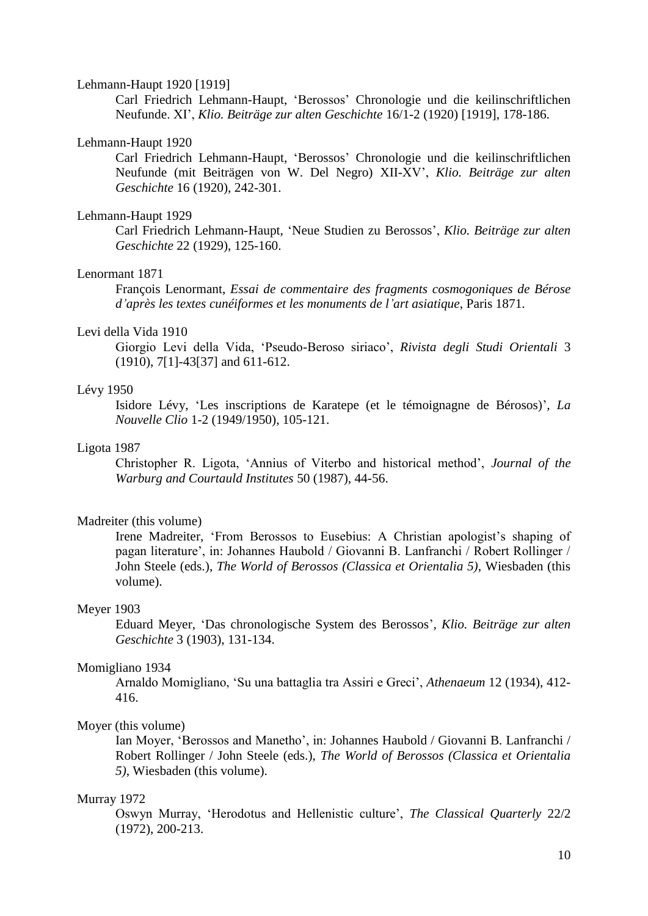### Lehmann-Haupt 1920 [1919]

Carl Friedrich [Lehmann-Haupt, "](http://www.gnomon-online.de/hzeig.FAU?sid=DAFED55739&dm=1&ind=1&zeig=Lehmann-Haupt%2C+Carl+Friedrich)[Berossos" Chronologie](javascript:h() [und die](javascript:h() [keilinschriftlichen](javascript:h()  [Neufunde.](javascript:h() XI", *Klio. Beiträge zur alten Geschichte* [16/](javascript:h()1-2 (1920) [1919], [178-186.](javascript:h() 

# Lehmann-Haupt 1920

Carl Friedrich [Lehmann-Haupt, "](http://www.gnomon-online.de/hzeig.FAU?sid=DAFED55739&dm=1&ind=1&zeig=Lehmann-Haupt%2C+Carl+Friedrich)[Berossos"](javascript:h() [Chronologie](javascript:h() [und die](javascript:h() [keilinschriftlichen](javascript:h()  [Neufunde](javascript:h() [\(mit Beiträgen](javascript:h() [von W.](javascript:h() [Del Negro\)](javascript:h() XII-XV", *Klio. Beiträge zur alten Geschichte* [16](javascript:h() (1920), [242-301.](javascript:h()

# Lehmann-Haupt 1929

Carl Friedrich [Lehmann-Haupt, "](http://www.gnomon-online.de/hzeig.FAU?sid=DAFED55739&dm=1&ind=1&zeig=Lehmann-Haupt%2C+Carl+Friedrich)[Neue Studien](javascript:h() [zu Berossos"](javascript:h(), *Klio. Beiträge zur alten Geschichte* [22](javascript:h() (1929), [125-160.](javascript:h()

## Lenormant 1871

François Lenormant, *Essai de commentaire des fragments cosmogoniques de Bérose d'après les textes cunéiformes et les monuments de l'art asiatique*, Paris 1871.

# Levi della Vida 1910

Giorgio Levi della Vida, "Pseudo-Beroso siriaco", *Rivista degli Studi Orientali* 3 (1910), 7[1]-43[37] and 611-612.

## Lévy 1950

Isidore Lévy, "Les inscriptions de Karatepe (et le témoignagne de Bérosos)", *La Nouvelle Clio* 1-2 (1949/1950), 105-121.

# Ligota 1987

Christopher R. Ligota, "Annius of Viterbo and historical method", *Journal of the Warburg and Courtauld Institutes* 50 (1987), 44-56.

# Madreiter (this volume)

Irene Madreiter, 'From Berossos to Eusebius: A Christian apologist's shaping of pagan literature", in: Johannes Haubold / Giovanni B. Lanfranchi / Robert Rollinger / John Steele (eds.), *The World of Berossos (Classica et Orientalia 5)*, Wiesbaden (this volume).

#### Meyer 1903

Eduard Meyer, "Das chronologische System des Berossos", *Klio. Beiträge zur alten Geschichte* 3 (1903), 131-134.

#### Momigliano 1934

Arnaldo Momigliano, "Su una battaglia tra Assiri e Greci", *Athenaeum* 12 (1934), 412- 416.

## Moyer (this volume)

Ian Moyer, "Berossos and Manetho", in: Johannes Haubold / Giovanni B. Lanfranchi / Robert Rollinger / John Steele (eds.), *The World of Berossos (Classica et Orientalia 5)*, Wiesbaden (this volume).

#### Murray 1972

Oswyn Murray, "Herodotus and Hellenistic culture", *The Classical Quarterly* 22/2 (1972), 200-213.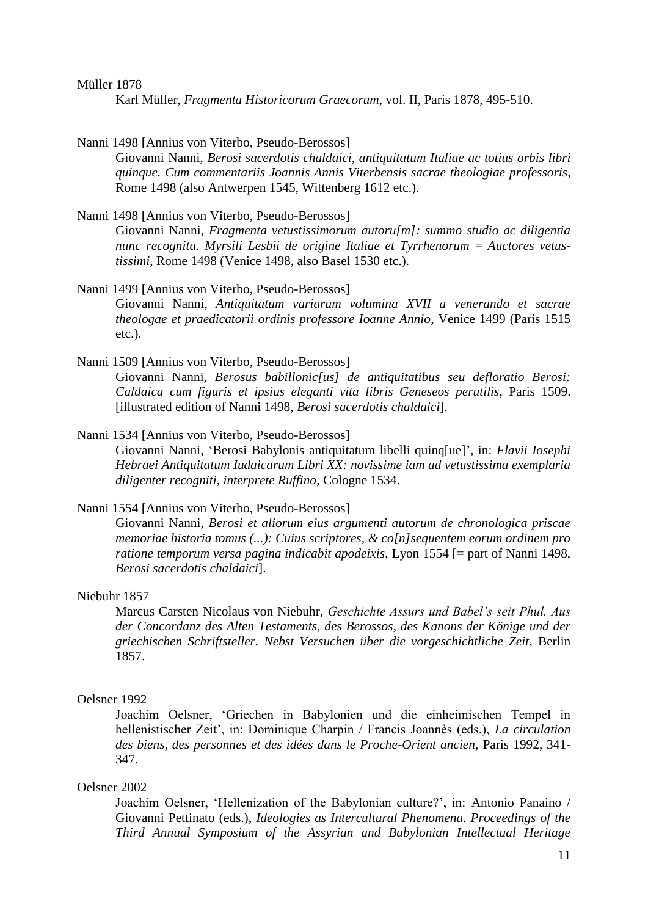Müller 1878

Karl Müller, *Fragmenta Historicorum Graecorum,* vol. II, Paris 1878, 495-510.

Nanni 1498 [Annius von Viterbo, Pseudo-Berossos]

Giovanni Nanni, *Berosi sacerdotis chaldaici, antiquitatum Italiae ac totius orbis libri quinque. Cum commentariis Joannis Annis Viterbensis sacrae theologiae professoris*, Rome 1498 (also Antwerpen 1545, Wittenberg 1612 etc.).

Nanni 1498 [Annius von Viterbo, Pseudo-Berossos]

Giovanni Nanni, *Fragmenta vetustissimorum autoru[m]: summo studio ac diligentia nunc recognita. Myrsili Lesbii de origine Italiae et Tyrrhenorum* = *Auctores vetustissimi*, Rome 1498 (Venice 1498, also Basel 1530 etc.).

- Nanni 1499 [Annius von Viterbo, Pseudo-Berossos] Giovanni Nanni, *Antiquitatum variarum volumina XVII a venerando et sacrae theologae et praedicatorii ordinis professore Ioanne Annio*, Venice 1499 (Paris 1515 etc.).
- Nanni 1509 [Annius von Viterbo, Pseudo-Berossos] Giovanni Nanni, *Berosus babillonic[us] de antiquitatibus seu defloratio Berosi: Caldaica cum figuris et ipsius eleganti vita libris Geneseos perutilis*, Paris 1509. [illustrated edition of Nanni 1498, *Berosi sacerdotis chaldaici*].
- Nanni 1534 [Annius von Viterbo, Pseudo-Berossos] Giovanni Nanni, "Berosi Babylonis antiquitatum libelli quinq[ue]", in: *Flavii Iosephi Hebraei Antiquitatum Iudaicarum Libri XX: novissime iam ad vetustissima exemplaria diligenter recogniti, interprete Ruffino*, Cologne 1534.

Nanni 1554 [Annius von Viterbo, Pseudo-Berossos] Giovanni Nanni, *Berosi et aliorum eius argumenti autorum de chronologica priscae memoriae historia tomus (...): Cuius scriptores, & co[n]sequentem eorum ordinem pro ratione temporum versa pagina indicabit apodeixis*, Lyon 1554 [= part of Nanni 1498, *Berosi sacerdotis chaldaici*].

# Niebuhr 1857

Marcus Carsten Nicolaus von Niebuhr, *Geschichte Assurs und Babel's seit Phul. Aus der Concordanz des Alten Testaments, des Berossos, des Kanons der Könige und der griechischen Schriftsteller. Nebst Versuchen über die vorgeschichtliche Zeit*, Berlin 1857.

## Oelsner 1992

Joachim Oelsner, "Griechen in Babylonien und die einheimischen Tempel in hellenistischer Zeit", in: Dominique Charpin / Francis Joannès (eds.), *La circulation des biens, des personnes et des idées dans le Proche-Orient ancien*, Paris 1992, 341- 347.

## Oelsner 2002

Joachim Oelsner, "Hellenization of the Babylonian culture?", in: Antonio Panaino / Giovanni Pettinato (eds.), *Ideologies as Intercultural Phenomena. Proceedings of the Third Annual Symposium of the Assyrian and Babylonian Intellectual Heritage*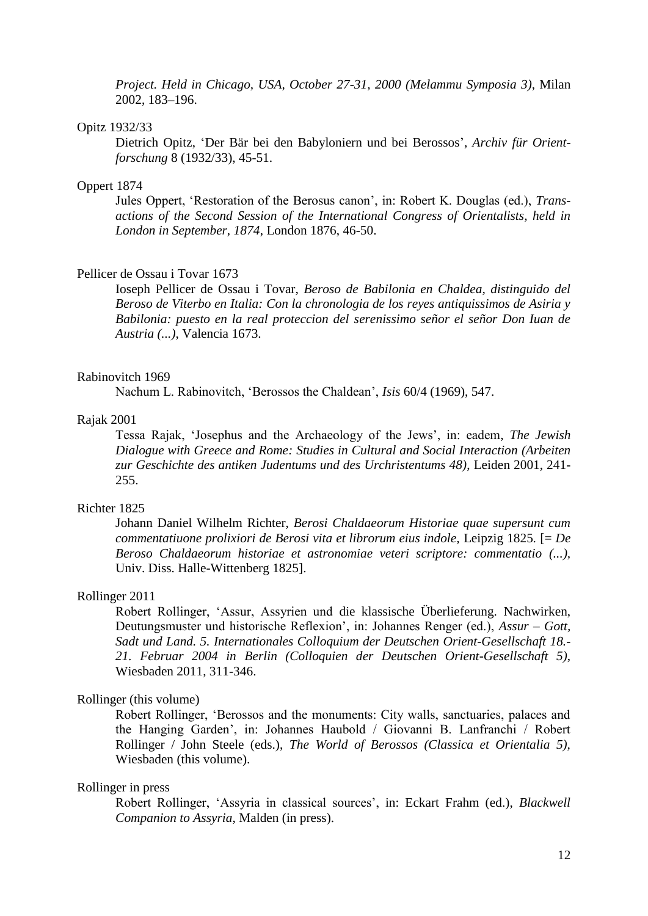*Project. Held in Chicago, USA, October 27-31, 2000 (Melammu Symposia 3)*, Milan 2002, 183–196.

#### Opitz 1932/33

Dietrich Opitz, "Der Bär bei den Babyloniern und bei Berossos", *Archiv für Orientforschung* 8 (1932/33), 45-51.

# Oppert 1874

Jules Oppert, "Restoration of the Berosus canon", in: Robert K. Douglas (ed.), *Transactions of the Second Session of the International Congress of Orientalists, held in London in September, 1874*, London 1876, 46-50.

### Pellicer de Ossau i Tovar 1673

Ioseph Pellicer de Ossau i Tovar, *Beroso de Babilonia en Chaldea, distinguido del Beroso de Viterbo en Italia: Con la chronologia de los reyes antiquissimos de Asiria y Babilonia: puesto en la real proteccion del serenissimo señor el señor Don Iuan de Austria (...)*, Valencia 1673.

#### Rabinovitch 1969

Nachum L. Rabinovitch, "Berossos the Chaldean", *Isis* 60/4 (1969), 547.

# Rajak 2001

Tessa Rajak, "Josephus and the Archaeology of the Jews", in: eadem, *The Jewish Dialogue with Greece and Rome: Studies in Cultural and Social Interaction (Arbeiten zur Geschichte des antiken Judentums und des Urchristentums 48)*, Leiden 2001, 241- 255.

# Richter 1825

Johann Daniel Wilhelm Richter, *Berosi Chaldaeorum Historiae quae supersunt cum commentatiuone prolixiori de Berosi vita et librorum eius indole,* Leipzig 1825*.* [= *De Beroso Chaldaeorum historiae et astronomiae veteri scriptore: commentatio (...),* Univ. Diss. Halle-Wittenberg 1825].

## Rollinger 2011

Robert Rollinger, "Assur, Assyrien und die klassische Überlieferung. Nachwirken, Deutungsmuster und historische Reflexion", in: Johannes Renger (ed.), *Assur – Gott, Sadt und Land. 5. Internationales Colloquium der Deutschen Orient-Gesellschaft 18.- 21. Februar 2004 in Berlin (Colloquien der Deutschen Orient-Gesellschaft 5)*, Wiesbaden 2011, 311-346.

#### Rollinger (this volume)

Robert Rollinger, "Berossos and the monuments: City walls, sanctuaries, palaces and the Hanging Garden", in: Johannes Haubold / Giovanni B. Lanfranchi / Robert Rollinger / John Steele (eds.), *The World of Berossos (Classica et Orientalia 5),*  Wiesbaden (this volume).

#### Rollinger in press

Robert Rollinger, "Assyria in classical sources", in: Eckart Frahm (ed.), *Blackwell Companion to Assyria*, Malden (in press).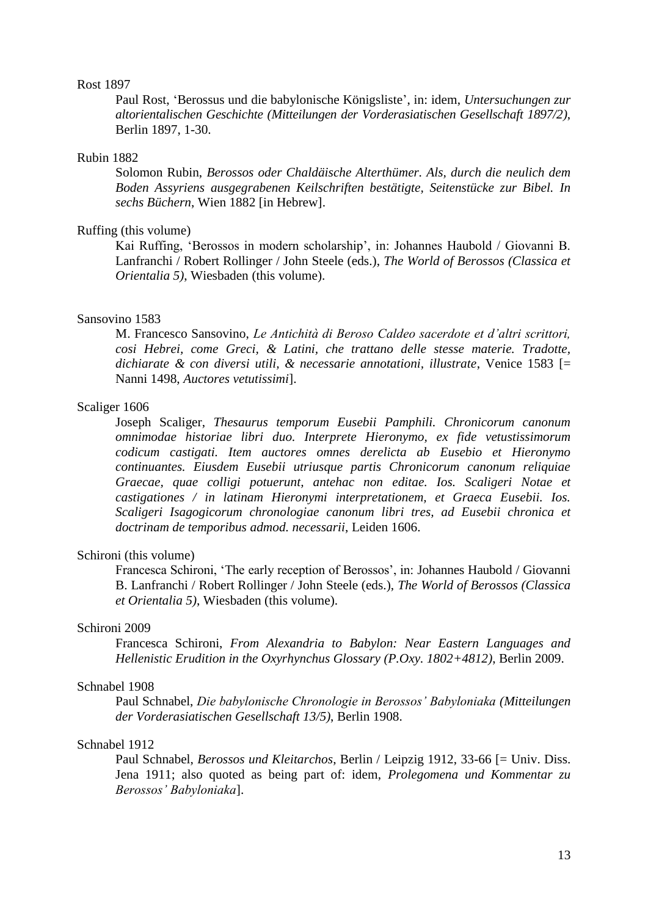## Rost 1897

Paul Rost, "Berossus und die babylonische Königsliste", in: idem, *Untersuchungen zur altorientalischen Geschichte (Mitteilungen der Vorderasiatischen Gesellschaft 1897/2)*, Berlin 1897, 1-30.

## Rubin 1882

Solomon Rubin, *Berossos oder Chaldäische Alterthümer. Als, durch die neulich dem Boden Assyriens ausgegrabenen Keilschriften bestätigte, Seitenstücke zur Bibel. In sechs Büchern*, Wien 1882 [in Hebrew].

# Ruffing (this volume)

Kai Ruffing, "Berossos in modern scholarship", in: Johannes Haubold / Giovanni B. Lanfranchi / Robert Rollinger / John Steele (eds.), *The World of Berossos (Classica et Orientalia 5)*, Wiesbaden (this volume).

# Sansovino 1583

M. Francesco Sansovino, *Le Antichità di Beroso Caldeo sacerdote et d'altri scrittori, cosi Hebrei, come Greci, & Latini, che trattano delle stesse materie. Tradotte, dichiarate & con diversi utili, & necessarie annotationi, illustrate*, Venice 1583 [= Nanni 1498, *Auctores vetutissimi*].

# Scaliger 1606

Joseph Scaliger, *Thesaurus temporum Eusebii Pamphili. Chronicorum canonum omnimodae historiae libri duo. Interprete Hieronymo, ex fide vetustissimorum codicum castigati. Item auctores omnes derelicta ab Eusebio et Hieronymo continuantes. Eiusdem Eusebii utriusque partis Chronicorum canonum reliquiae Graecae, quae colligi potuerunt, antehac non editae. Ios. Scaligeri Notae et castigationes / in latinam Hieronymi interpretationem, et Graeca Eusebii. Ios. Scaligeri Isagogicorum chronologiae canonum libri tres, ad Eusebii chronica et doctrinam de temporibus admod. necessarii*, Leiden 1606.

# Schironi (this volume)

Francesca Schironi, "The early reception of Berossos", in: Johannes Haubold / Giovanni B. Lanfranchi / Robert Rollinger / John Steele (eds.), *The World of Berossos (Classica et Orientalia 5)*, Wiesbaden (this volume).

# Schironi 2009

Francesca Schironi, *From Alexandria to Babylon: Near Eastern Languages and Hellenistic Erudition in the Oxyrhynchus Glossary (P.Oxy. 1802+4812)*, Berlin 2009.

# Schnabel 1908

Paul Schnabel, *Die babylonische Chronologie in Berossos' Babyloniaka (Mitteilungen der Vorderasiatischen Gesellschaft 13/5)*, Berlin 1908.

# Schnabel 1912

Paul Schnabel, *Berossos und Kleitarchos*, Berlin / Leipzig 1912, 33-66 [= Univ. Diss. Jena 1911; also quoted as being part of: idem, *Prolegomena und Kommentar zu Berossos' Babyloniaka*].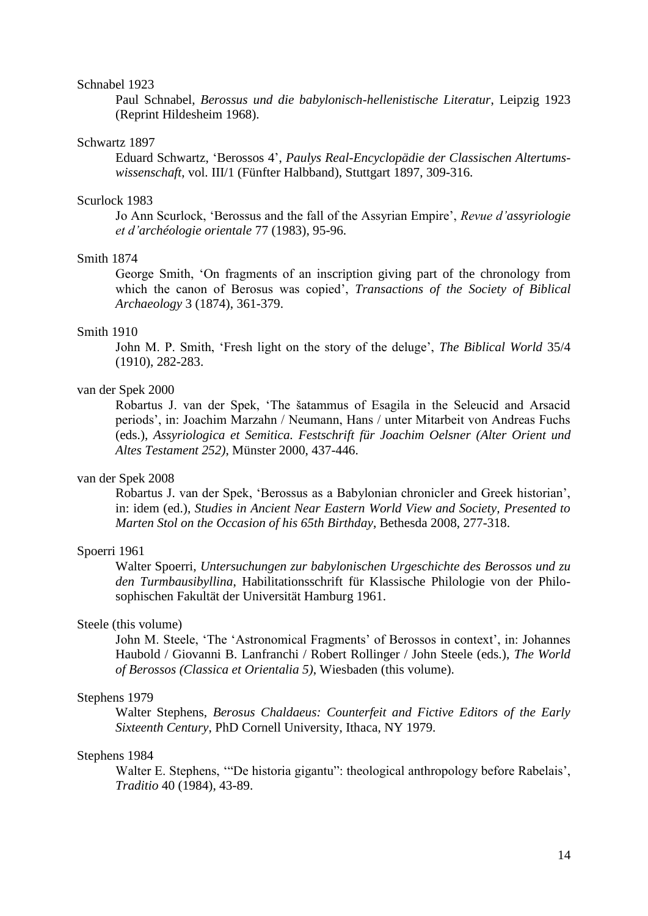### Schnabel 1923

Paul Schnabel, *Berossus und die babylonisch-hellenistische Literatur*, Leipzig 1923 (Reprint Hildesheim 1968).

## Schwartz 1897

Eduard [Schwartz,](http://www.gnomon-online.de/hzeig.FAU?sid=DAFED55733&dm=1&ind=1&zeig=Schwartz%2C+Eduard) ["Berossos](javascript:h() 4", *Paulys Real-Encyclopädie der Classischen Altertumswissenschaft*, vol. III/1 [\(Fünfter Halbband\)](javascript:h(), Stuttgart 1897, [309-316.](javascript:h()

### Scurlock 1983

Jo Ann Scurlock, "Berossus and the fall of the Assyrian Empire", *Revue d'assyriologie et d'archéologie orientale* 77 (1983), 95-96.

# Smith 1874

George Smith, "On fragments of an inscription giving part of the chronology from which the canon of Berosus was copied", *Transactions of the Society of Biblical Archaeology* 3 (1874), 361-379.

# Smith 1910

John M. P. Smith, "Fresh light on the story of the deluge", *The Biblical World* 35/4 (1910), 282-283.

# van der Spek 2000

Robartus J. van der Spek, "The šatammus of Esagila in the Seleucid and Arsacid periods", in: Joachim Marzahn / Neumann, Hans / unter Mitarbeit von Andreas Fuchs (eds.), *Assyriologica et Semitica. Festschrift für Joachim Oelsner (Alter Orient und Altes Testament 252)*, Münster 2000, 437-446.

# van der Spek 2008

Robartus J. van der Spek, "Berossus as a Babylonian chronicler and Greek historian", in: idem (ed.), *Studies in Ancient Near Eastern World View and Society, Presented to Marten Stol on the Occasion of his 65th Birthday*, Bethesda 2008, 277-318.

## Spoerri 1961

Walter Spoerri, *Untersuchungen zur babylonischen Urgeschichte des Berossos und zu den Turmbausibyllina*, Habilitationsschrift für Klassische Philologie von der Philosophischen Fakultät der Universität Hamburg 1961.

# Steele (this volume)

John M. Steele, 'The 'Astronomical Fragments' of Berossos in context', in: Johannes Haubold / Giovanni B. Lanfranchi / Robert Rollinger / John Steele (eds.), *The World of Berossos (Classica et Orientalia 5)*, Wiesbaden (this volume).

# Stephens 1979

Walter Stephens, *Berosus Chaldaeus: Counterfeit and Fictive Editors of the Early Sixteenth Century*, PhD Cornell University, Ithaca, NY 1979.

# Stephens 1984

Walter E. Stephens, ""De historia gigantu": theological anthropology before Rabelais', *Traditio* 40 (1984), 43-89.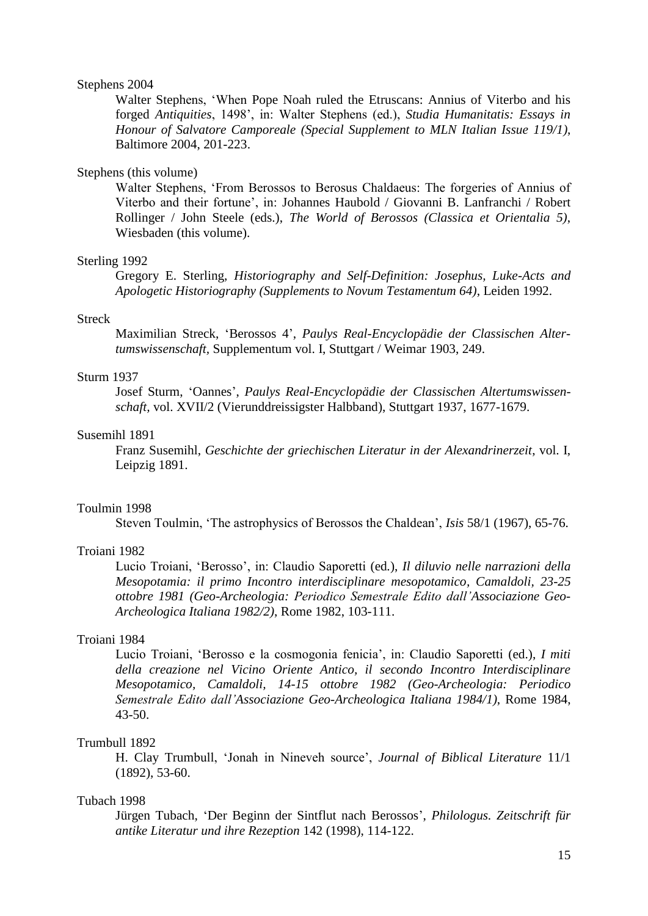## Stephens 2004

Walter Stephens, "When Pope Noah ruled the Etruscans: Annius of Viterbo and his forged *Antiquities*, 1498", in: Walter Stephens (ed.), *Studia Humanitatis: Essays in Honour of Salvatore Camporeale (Special Supplement to MLN Italian Issue 119/1)*, Baltimore 2004, 201-223.

# Stephens (this volume)

Walter Stephens, "From Berossos to Berosus Chaldaeus: The forgeries of Annius of Viterbo and their fortune", in: Johannes Haubold / Giovanni B. Lanfranchi / Robert Rollinger / John Steele (eds.), *The World of Berossos (Classica et Orientalia 5)*, Wiesbaden (this volume).

#### Sterling 1992

Gregory E. Sterling, *Historiography and Self-Definition: Josephus, Luke-Acts and Apologetic Historiography (Supplements to Novum Testamentum 64)*, Leiden 1992.

# Streck

Maximilian Streck, "Berossos 4", *Paulys Real-Encyclopädie der Classischen Altertumswissenschaft,* Supplementum vol. I, Stuttgart / Weimar 1903, 249.

# Sturm 1937

Josef Sturm, "Oannes", *Paulys Real-Encyclopädie der Classischen Altertumswissenschaft,* vol. XVII/2 (Vierunddreissigster Halbband), Stuttgart 1937, 1677-1679.

# Susemihl 1891

Franz Susemihl, *Geschichte der griechischen Literatur in der Alexandrinerzeit*, vol. I, Leipzig 1891.

#### Toulmin 1998

Steven Toulmin, "The astrophysics of Berossos the Chaldean", *Isis* 58/1 (1967), 65-76.

# Troiani 1982

Lucio Troiani, "Berosso", in: Claudio Saporetti (ed*.*), *Il diluvio nelle narrazioni della Mesopotamia: il primo Incontro interdisciplinare mesopotamico, Camaldoli, 23-25 ottobre 1981 (Geo-Archeologia: Periodico Semestrale Edito dall'Associazione Geo-Archeologica Italiana 1982/2)*, Rome 1982, 103-111.

# Troiani 1984

Lucio Troiani, "Berosso e la cosmogonia fenicia", in: Claudio Saporetti (ed.), *I miti della creazione nel Vicino Oriente Antico, il secondo Incontro Interdisciplinare Mesopotamico, Camaldoli, 14-15 ottobre 1982 (Geo-Archeologia: Periodico Semestrale Edito dall'Associazione Geo-Archeologica Italiana 1984/1)*, Rome 1984, 43-50.

#### Trumbull 1892

H. Clay Trumbull, "Jonah in Nineveh source", *Journal of Biblical Literature* 11/1 (1892), 53-60.

# Tubach 1998

Jürgen Tubach, "Der Beginn der Sintflut nach Berossos", *Philologus. Zeitschrift für antike Literatur und ihre Rezeption* 142 (1998), 114-122.